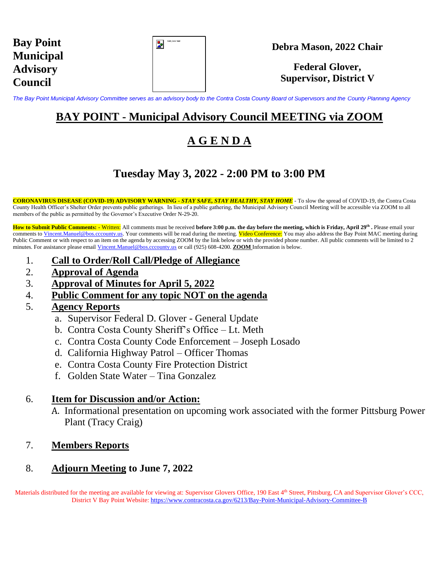| <b>Bay Point</b> |
|------------------|
| <b>Municipal</b> |
| <b>Advisory</b>  |
| <b>Council</b>   |

| Gold_Color Seal |
|-----------------|
|                 |
|                 |
|                 |

**Federal Glover, Supervisor, District V**

*The Bay Point Municipal Advisory Committee serves as an advisory body to the Contra Costa County Board of Supervisors and the County Planning Agency*

### **BAY POINT - Municipal Advisory Council MEETING via ZOOM**

# **A G E N D A**

## **Tuesday May 3, 2022 - 2:00 PM to 3:00 PM**

**CORONAVIRUS DISEASE (COVID-19) ADVISORY WARNING -** *STAY SAFE, STAY HEALTHY, STAY HOME* - To slow the spread of COVID-19, the Contra Costa County Health Officer's Shelter Order prevents public gatherings. In lieu of a public gathering, the Municipal Advisory Council Meeting will be accessible via ZOOM to all members of the public as permitted by the Governor's Executive Order N-29-20.

**How to Submit Public Comments: -** Written: All comments must be received **before 3:00 p.m. the day before the meeting, which is Friday, April 29th .** Please email your comments to [Vincent.Manuel@bos.cccounty.us.](mailto:Vincent.Manuel@bos.cccounty.us) Your comments will be read during the meeting. Video Conference: You may also address the Bay Point MAC meeting during Public Comment or with respect to an item on the agenda by accessing ZOOM by the link below or with the provided phone number. All public comments will be limited to 2 minutes. For assistance please email [Vincent.Manuel@bos.cccounty.us](mailto:Vincent.Manuel@bos.cccounty.us) or call (925) 608-4200. **ZOOM** Information is below.

- 1. **Call to Order/Roll Call/Pledge of Allegiance**
- 2. **Approval of Agenda**
- 3. **Approval of Minutes for April 5, 2022**
- 4. **Public Comment for any topic NOT on the agenda**
- 5. **Agency Reports**
	- a. Supervisor Federal D. Glover General Update
	- b. Contra Costa County Sheriff's Office Lt. Meth
	- c. Contra Costa County Code Enforcement Joseph Losado
	- d. California Highway Patrol Officer Thomas
	- e. Contra Costa County Fire Protection District
	- f. Golden State Water Tina Gonzalez

#### 6. **Item for Discussion and/or Action:**

A. Informational presentation on upcoming work associated with the former Pittsburg Power Plant (Tracy Craig)

#### 7. **Members Reports**

### 8. **Adjourn Meeting to June 7, 2022**

Materials distributed for the meeting are available for viewing at: Supervisor Glovers Office, 190 East 4th Street, Pittsburg, CA and Supervisor Glover's CCC, District V Bay Point Website: <https://www.contracosta.ca.gov/6213/Bay-Point-Municipal-Advisory-Committee-B>